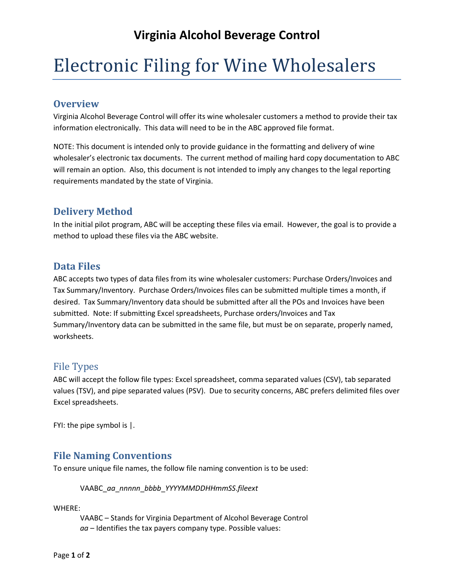# **Virginia Alcohol Beverage Control**

# Electronic Filing for Wine Wholesalers

#### **Overview**

Virginia Alcohol Beverage Control will offer its wine wholesaler customers a method to provide their tax information electronically. This data will need to be in the ABC approved file format.

NOTE: This document is intended only to provide guidance in the formatting and delivery of wine wholesaler's electronic tax documents. The current method of mailing hard copy documentation to ABC will remain an option. Also, this document is not intended to imply any changes to the legal reporting requirements mandated by the state of Virginia.

#### **Delivery Method**

In the initial pilot program, ABC will be accepting these files via email. However, the goal is to provide a method to upload these files via the ABC website.

## **Data Files**

ABC accepts two types of data files from its wine wholesaler customers: Purchase Orders/Invoices and Tax Summary/Inventory. Purchase Orders/Invoices files can be submitted multiple times a month, if desired. Tax Summary/Inventory data should be submitted after all the POs and Invoices have been submitted. Note: If submitting Excel spreadsheets, Purchase orders/Invoices and Tax Summary/Inventory data can be submitted in the same file, but must be on separate, properly named, worksheets.

#### File Types

ABC will accept the follow file types: Excel spreadsheet, comma separated values (CSV), tab separated values (TSV), and pipe separated values (PSV). Due to security concerns, ABC prefers delimited files over Excel spreadsheets.

FYI: the pipe symbol is |.

## **File Naming Conventions**

To ensure unique file names, the follow file naming convention is to be used:

VAABC\_*aa*\_*nnnnn*\_*bbbb*\_*YYYYMMDDHHmmSS*.*fileext*

WHERE:

VAABC – Stands for Virginia Department of Alcohol Beverage Control *aa* – Identifies the tax payers company type. Possible values: